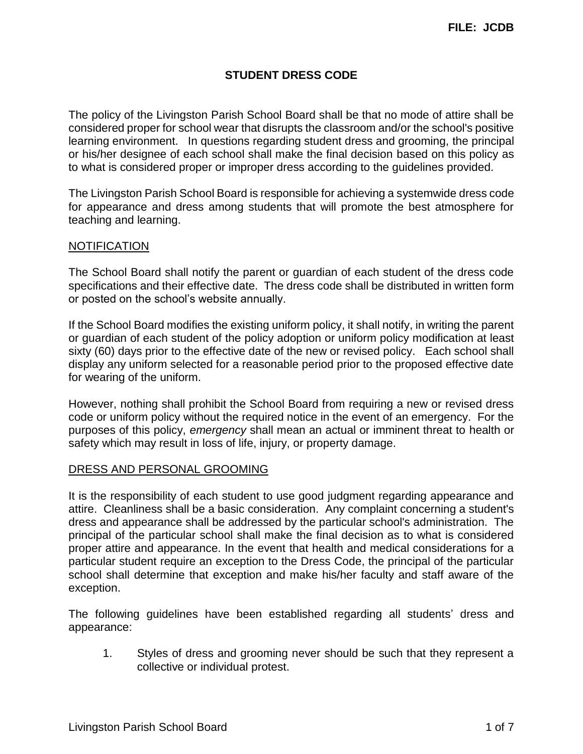# **STUDENT DRESS CODE**

The policy of the Livingston Parish School Board shall be that no mode of attire shall be considered proper for school wear that disrupts the classroom and/or the school's positive learning environment. In questions regarding student dress and grooming, the principal or his/her designee of each school shall make the final decision based on this policy as to what is considered proper or improper dress according to the guidelines provided.

The Livingston Parish School Board is responsible for achieving a systemwide dress code for appearance and dress among students that will promote the best atmosphere for teaching and learning.

## **NOTIFICATION**

The School Board shall notify the parent or guardian of each student of the dress code specifications and their effective date. The dress code shall be distributed in written form or posted on the school's website annually.

If the School Board modifies the existing uniform policy, it shall notify, in writing the parent or guardian of each student of the policy adoption or uniform policy modification at least sixty (60) days prior to the effective date of the new or revised policy. Each school shall display any uniform selected for a reasonable period prior to the proposed effective date for wearing of the uniform.

However, nothing shall prohibit the School Board from requiring a new or revised dress code or uniform policy without the required notice in the event of an emergency. For the purposes of this policy, *emergency* shall mean an actual or imminent threat to health or safety which may result in loss of life, injury, or property damage.

#### DRESS AND PERSONAL GROOMING

It is the responsibility of each student to use good judgment regarding appearance and attire. Cleanliness shall be a basic consideration. Any complaint concerning a student's dress and appearance shall be addressed by the particular school's administration. The principal of the particular school shall make the final decision as to what is considered proper attire and appearance. In the event that health and medical considerations for a particular student require an exception to the Dress Code, the principal of the particular school shall determine that exception and make his/her faculty and staff aware of the exception.

The following guidelines have been established regarding all students' dress and appearance:

1. Styles of dress and grooming never should be such that they represent a collective or individual protest.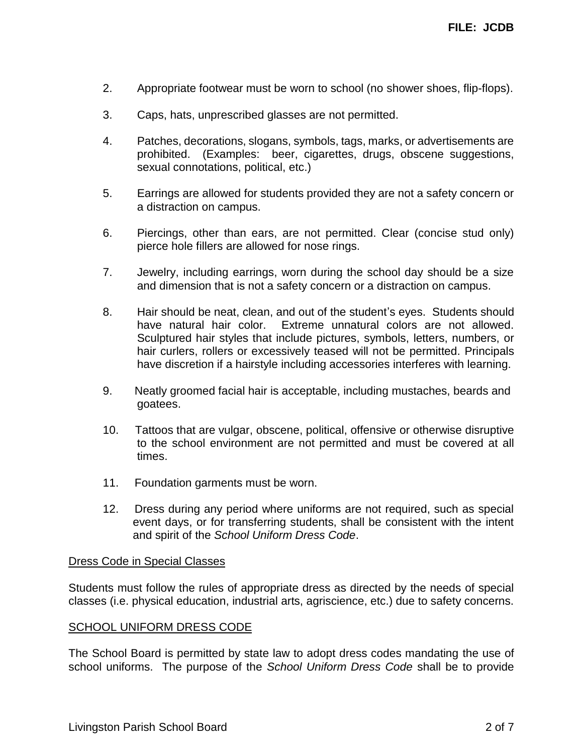- 2. Appropriate footwear must be worn to school (no shower shoes, flip-flops).
- 3. Caps, hats, unprescribed glasses are not permitted.
- 4. Patches, decorations, slogans, symbols, tags, marks, or advertisements are prohibited. (Examples: beer, cigarettes, drugs, obscene suggestions, sexual connotations, political, etc.)
- 5. Earrings are allowed for students provided they are not a safety concern or a distraction on campus.
- 6. Piercings, other than ears, are not permitted. Clear (concise stud only) pierce hole fillers are allowed for nose rings.
- 7. Jewelry, including earrings, worn during the school day should be a size and dimension that is not a safety concern or a distraction on campus.
- 8. Hair should be neat, clean, and out of the student's eyes. Students should have natural hair color. Extreme unnatural colors are not allowed. Sculptured hair styles that include pictures, symbols, letters, numbers, or hair curlers, rollers or excessively teased will not be permitted. Principals have discretion if a hairstyle including accessories interferes with learning.
- 9. Neatly groomed facial hair is acceptable, including mustaches, beards and goatees.
- 10. Tattoos that are vulgar, obscene, political, offensive or otherwise disruptive to the school environment are not permitted and must be covered at all times.
- 11. Foundation garments must be worn.
- 12. Dress during any period where uniforms are not required, such as special event days, or for transferring students, shall be consistent with the intent and spirit of the *School Uniform Dress Code*.

#### Dress Code in Special Classes

Students must follow the rules of appropriate dress as directed by the needs of special classes (i.e. physical education, industrial arts, agriscience, etc.) due to safety concerns.

#### SCHOOL UNIFORM DRESS CODE

The School Board is permitted by state law to adopt dress codes mandating the use of school uniforms. The purpose of the *School Uniform Dress Code* shall be to provide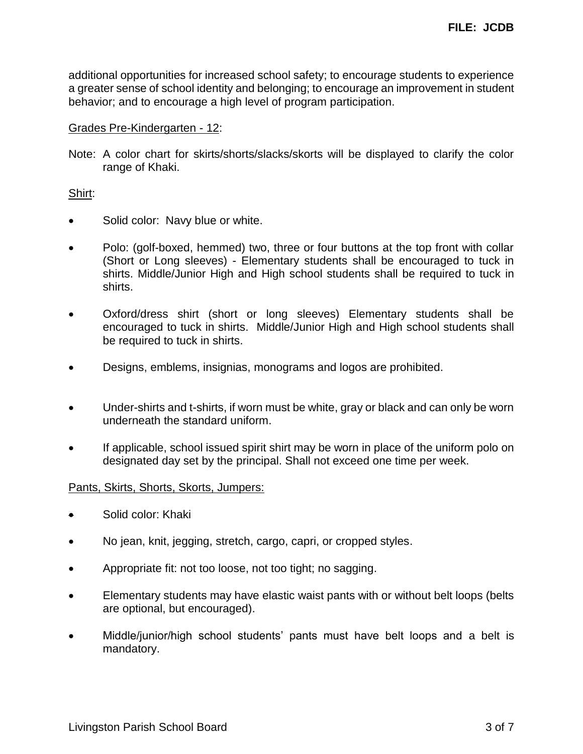additional opportunities for increased school safety; to encourage students to experience a greater sense of school identity and belonging; to encourage an improvement in student behavior; and to encourage a high level of program participation.

#### Grades Pre-Kindergarten - 12:

Note: A color chart for skirts/shorts/slacks/skorts will be displayed to clarify the color range of Khaki.

## Shirt:

- Solid color: Navy blue or white.
- Polo: (golf-boxed, hemmed) two, three or four buttons at the top front with collar (Short or Long sleeves) - Elementary students shall be encouraged to tuck in shirts. Middle/Junior High and High school students shall be required to tuck in shirts.
- Oxford/dress shirt (short or long sleeves) Elementary students shall be encouraged to tuck in shirts. Middle/Junior High and High school students shall be required to tuck in shirts.
- Designs, emblems, insignias, monograms and logos are prohibited.
- Under-shirts and t-shirts, if worn must be white, gray or black and can only be worn underneath the standard uniform.
- If applicable, school issued spirit shirt may be worn in place of the uniform polo on designated day set by the principal. Shall not exceed one time per week.

#### Pants, Skirts, Shorts, Skorts, Jumpers:

- Solid color: Khaki
- No jean, knit, jegging, stretch, cargo, capri, or cropped styles.
- Appropriate fit: not too loose, not too tight; no sagging.
- Elementary students may have elastic waist pants with or without belt loops (belts are optional, but encouraged).
- Middle/junior/high school students' pants must have belt loops and a belt is mandatory.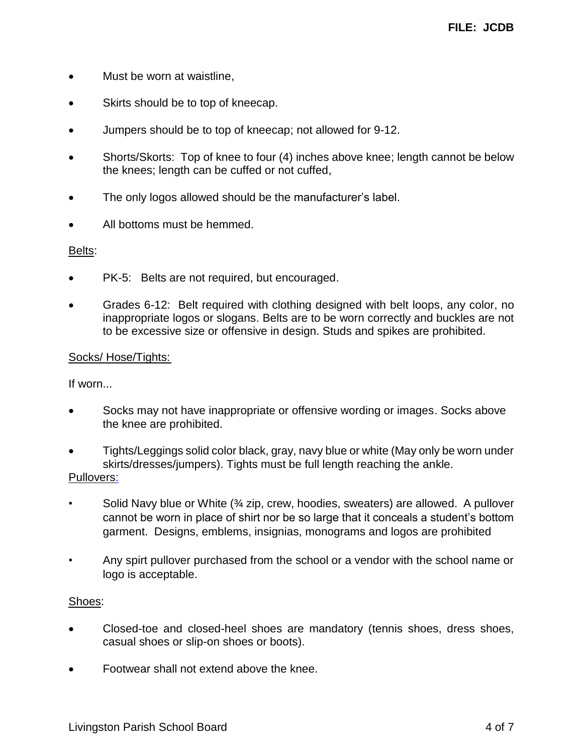- Must be worn at waistline,
- Skirts should be to top of kneecap.
- Jumpers should be to top of kneecap; not allowed for 9-12.
- Shorts/Skorts: Top of knee to four (4) inches above knee; length cannot be below the knees; length can be cuffed or not cuffed,
- The only logos allowed should be the manufacturer's label.
- All bottoms must be hemmed.

## Belts:

- PK-5: Belts are not required, but encouraged.
- Grades 6-12: Belt required with clothing designed with belt loops, any color, no inappropriate logos or slogans. Belts are to be worn correctly and buckles are not to be excessive size or offensive in design. Studs and spikes are prohibited.

## Socks/ Hose/Tights:

If worn...

- Socks may not have inappropriate or offensive wording or images. Socks above the knee are prohibited.
- Tights/Leggings solid color black, gray, navy blue or white (May only be worn under skirts/dresses/jumpers). Tights must be full length reaching the ankle. Pullovers:

- Solid Navy blue or White  $\frac{3}{4}$  zip, crew, hoodies, sweaters) are allowed. A pullover cannot be worn in place of shirt nor be so large that it conceals a student's bottom garment. Designs, emblems, insignias, monograms and logos are prohibited
- Any spirt pullover purchased from the school or a vendor with the school name or logo is acceptable.

# Shoes:

- Closed-toe and closed-heel shoes are mandatory (tennis shoes, dress shoes, casual shoes or slip-on shoes or boots).
- Footwear shall not extend above the knee.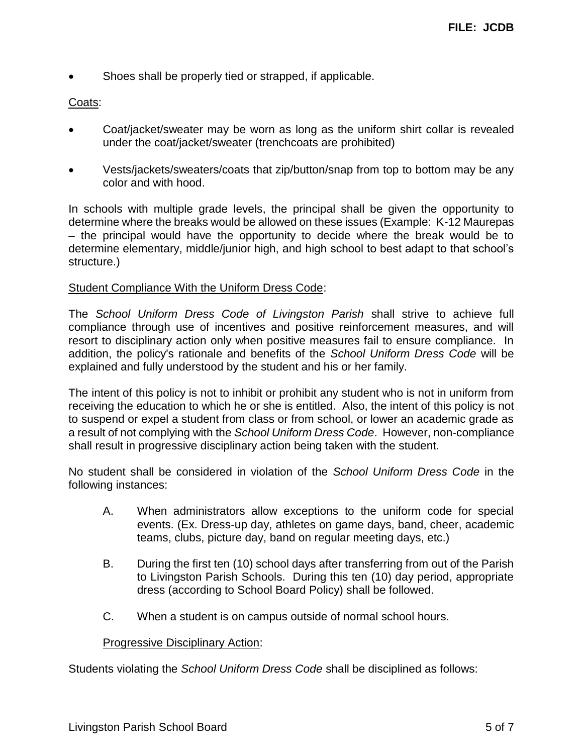Shoes shall be properly tied or strapped, if applicable.

# Coats:

- Coat/jacket/sweater may be worn as long as the uniform shirt collar is revealed under the coat/jacket/sweater (trenchcoats are prohibited)
- Vests/jackets/sweaters/coats that zip/button/snap from top to bottom may be any color and with hood.

In schools with multiple grade levels, the principal shall be given the opportunity to determine where the breaks would be allowed on these issues (Example: K-12 Maurepas – the principal would have the opportunity to decide where the break would be to determine elementary, middle/junior high, and high school to best adapt to that school's structure.)

## Student Compliance With the Uniform Dress Code:

The *School Uniform Dress Code of Livingston Parish* shall strive to achieve full compliance through use of incentives and positive reinforcement measures, and will resort to disciplinary action only when positive measures fail to ensure compliance. In addition, the policy's rationale and benefits of the *School Uniform Dress Code* will be explained and fully understood by the student and his or her family.

The intent of this policy is not to inhibit or prohibit any student who is not in uniform from receiving the education to which he or she is entitled. Also, the intent of this policy is not to suspend or expel a student from class or from school, or lower an academic grade as a result of not complying with the *School Uniform Dress Code*. However, non-compliance shall result in progressive disciplinary action being taken with the student.

No student shall be considered in violation of the *School Uniform Dress Code* in the following instances:

- A. When administrators allow exceptions to the uniform code for special events. (Ex. Dress-up day, athletes on game days, band, cheer, academic teams, clubs, picture day, band on regular meeting days, etc.)
- B. During the first ten (10) school days after transferring from out of the Parish to Livingston Parish Schools. During this ten (10) day period, appropriate dress (according to School Board Policy) shall be followed.
- C. When a student is on campus outside of normal school hours.

# **Progressive Disciplinary Action:**

Students violating the *School Uniform Dress Code* shall be disciplined as follows: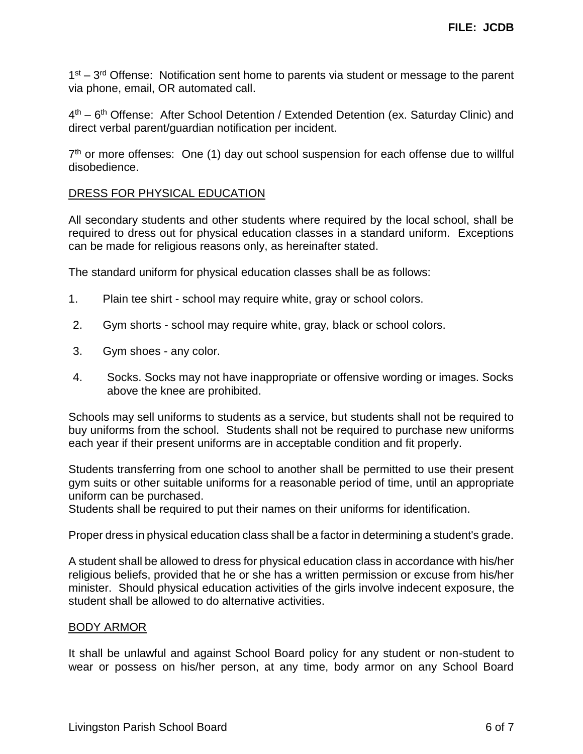1<sup>st</sup> – 3<sup>rd</sup> Offense: Notification sent home to parents via student or message to the parent via phone, email, OR automated call.

4<sup>th</sup> – 6<sup>th</sup> Offense: After School Detention / Extended Detention (ex. Saturday Clinic) and direct verbal parent/guardian notification per incident.

7<sup>th</sup> or more offenses: One (1) day out school suspension for each offense due to willful disobedience.

## DRESS FOR PHYSICAL EDUCATION

All secondary students and other students where required by the local school, shall be required to dress out for physical education classes in a standard uniform. Exceptions can be made for religious reasons only, as hereinafter stated.

The standard uniform for physical education classes shall be as follows:

- 1. Plain tee shirt school may require white, gray or school colors.
- 2. Gym shorts school may require white, gray, black or school colors.
- 3. Gym shoes any color.
- 4. Socks. Socks may not have inappropriate or offensive wording or images. Socks above the knee are prohibited.

Schools may sell uniforms to students as a service, but students shall not be required to buy uniforms from the school. Students shall not be required to purchase new uniforms each year if their present uniforms are in acceptable condition and fit properly.

Students transferring from one school to another shall be permitted to use their present gym suits or other suitable uniforms for a reasonable period of time, until an appropriate uniform can be purchased.

Students shall be required to put their names on their uniforms for identification.

Proper dress in physical education class shall be a factor in determining a student's grade.

A student shall be allowed to dress for physical education class in accordance with his/her religious beliefs, provided that he or she has a written permission or excuse from his/her minister. Should physical education activities of the girls involve indecent exposure, the student shall be allowed to do alternative activities.

#### BODY ARMOR

It shall be unlawful and against School Board policy for any student or non-student to wear or possess on his/her person, at any time, body armor on any School Board